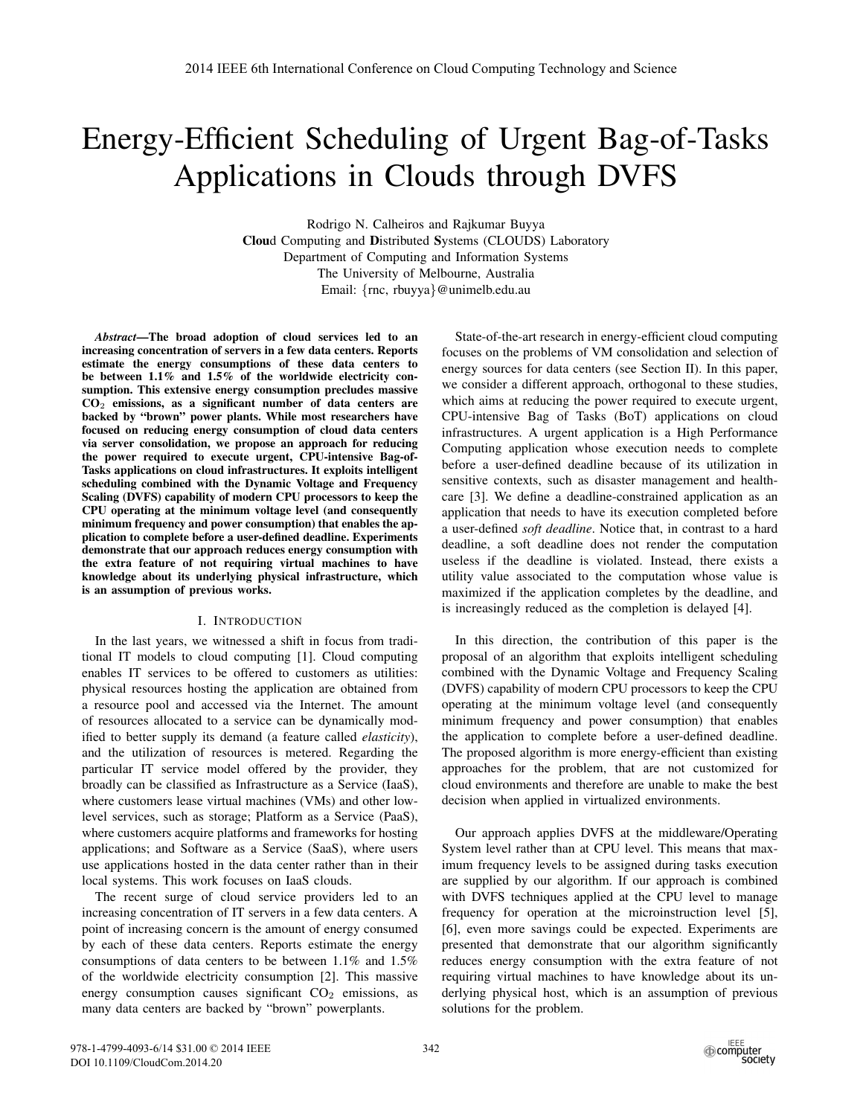# Energy-Efficient Scheduling of Urgent Bag-of-Tasks Applications in Clouds through DVFS

Rodrigo N. Calheiros and Rajkumar Buyya Cloud Computing and Distributed Systems (CLOUDS) Laboratory Department of Computing and Information Systems The University of Melbourne, Australia Email: {rnc, rbuyya}@unimelb.edu.au

*Abstract*—The broad adoption of cloud services led to an increasing concentration of servers in a few data centers. Reports estimate the energy consumptions of these data centers to be between 1.1% and 1.5% of the worldwide electricity consumption. This extensive energy consumption precludes massive CO<sup>2</sup> emissions, as a significant number of data centers are backed by "brown" power plants. While most researchers have focused on reducing energy consumption of cloud data centers via server consolidation, we propose an approach for reducing the power required to execute urgent, CPU-intensive Bag-of-Tasks applications on cloud infrastructures. It exploits intelligent scheduling combined with the Dynamic Voltage and Frequency Scaling (DVFS) capability of modern CPU processors to keep the CPU operating at the minimum voltage level (and consequently minimum frequency and power consumption) that enables the application to complete before a user-defined deadline. Experiments demonstrate that our approach reduces energy consumption with the extra feature of not requiring virtual machines to have knowledge about its underlying physical infrastructure, which is an assumption of previous works.

## I. INTRODUCTION

In the last years, we witnessed a shift in focus from traditional IT models to cloud computing [1]. Cloud computing enables IT services to be offered to customers as utilities: physical resources hosting the application are obtained from a resource pool and accessed via the Internet. The amount of resources allocated to a service can be dynamically modified to better supply its demand (a feature called *elasticity*), and the utilization of resources is metered. Regarding the particular IT service model offered by the provider, they broadly can be classified as Infrastructure as a Service (IaaS), where customers lease virtual machines (VMs) and other lowlevel services, such as storage; Platform as a Service (PaaS), where customers acquire platforms and frameworks for hosting applications; and Software as a Service (SaaS), where users use applications hosted in the data center rather than in their local systems. This work focuses on IaaS clouds.

The recent surge of cloud service providers led to an increasing concentration of IT servers in a few data centers. A point of increasing concern is the amount of energy consumed by each of these data centers. Reports estimate the energy consumptions of data centers to be between 1.1% and 1.5% of the worldwide electricity consumption [2]. This massive energy consumption causes significant  $CO<sub>2</sub>$  emissions, as many data centers are backed by "brown" powerplants.

State-of-the-art research in energy-efficient cloud computing focuses on the problems of VM consolidation and selection of energy sources for data centers (see Section II). In this paper, we consider a different approach, orthogonal to these studies, which aims at reducing the power required to execute urgent, CPU-intensive Bag of Tasks (BoT) applications on cloud infrastructures. A urgent application is a High Performance Computing application whose execution needs to complete before a user-defined deadline because of its utilization in sensitive contexts, such as disaster management and healthcare [3]. We define a deadline-constrained application as an application that needs to have its execution completed before a user-defined *soft deadline*. Notice that, in contrast to a hard deadline, a soft deadline does not render the computation useless if the deadline is violated. Instead, there exists a utility value associated to the computation whose value is maximized if the application completes by the deadline, and is increasingly reduced as the completion is delayed [4].

In this direction, the contribution of this paper is the proposal of an algorithm that exploits intelligent scheduling combined with the Dynamic Voltage and Frequency Scaling (DVFS) capability of modern CPU processors to keep the CPU operating at the minimum voltage level (and consequently minimum frequency and power consumption) that enables the application to complete before a user-defined deadline. The proposed algorithm is more energy-efficient than existing approaches for the problem, that are not customized for cloud environments and therefore are unable to make the best decision when applied in virtualized environments.

Our approach applies DVFS at the middleware/Operating System level rather than at CPU level. This means that maximum frequency levels to be assigned during tasks execution are supplied by our algorithm. If our approach is combined with DVFS techniques applied at the CPU level to manage frequency for operation at the microinstruction level [5], [6], even more savings could be expected. Experiments are presented that demonstrate that our algorithm significantly reduces energy consumption with the extra feature of not requiring virtual machines to have knowledge about its underlying physical host, which is an assumption of previous solutions for the problem.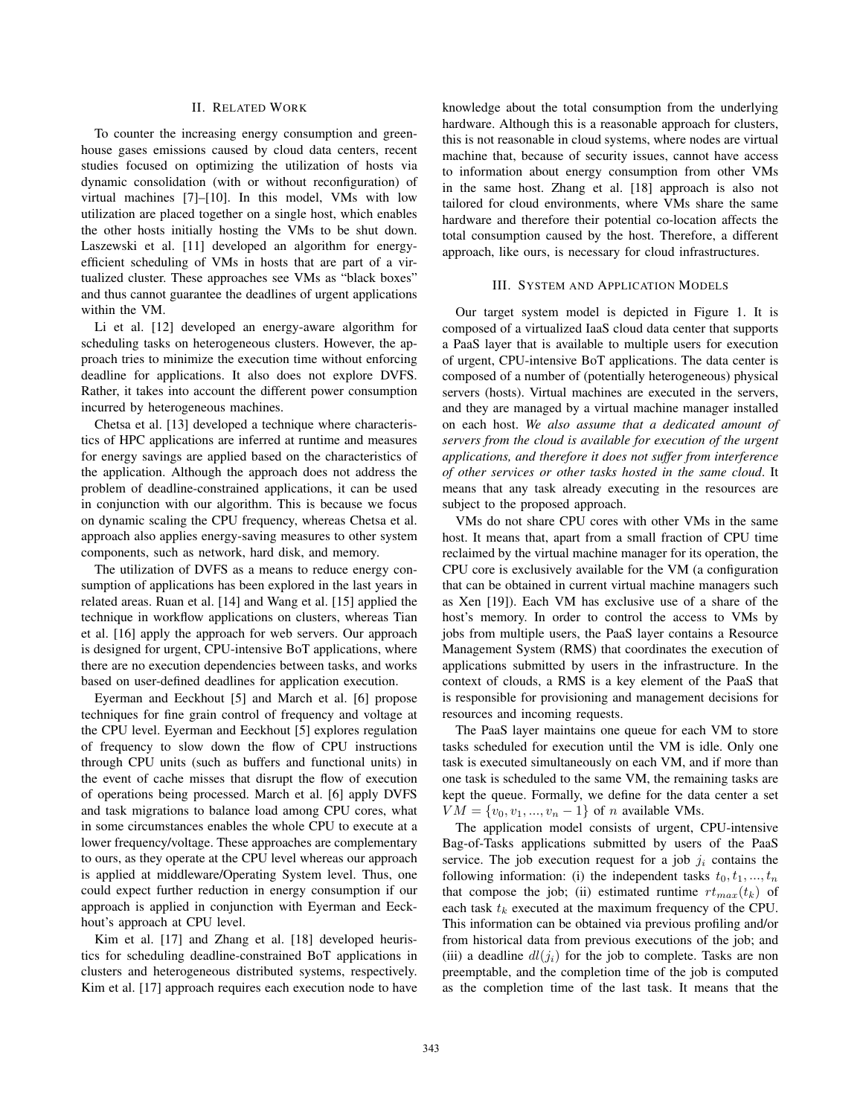#### II. RELATED WORK

To counter the increasing energy consumption and greenhouse gases emissions caused by cloud data centers, recent studies focused on optimizing the utilization of hosts via dynamic consolidation (with or without reconfiguration) of virtual machines [7]–[10]. In this model, VMs with low utilization are placed together on a single host, which enables the other hosts initially hosting the VMs to be shut down. Laszewski et al. [11] developed an algorithm for energyefficient scheduling of VMs in hosts that are part of a virtualized cluster. These approaches see VMs as "black boxes" and thus cannot guarantee the deadlines of urgent applications within the VM.

Li et al. [12] developed an energy-aware algorithm for scheduling tasks on heterogeneous clusters. However, the approach tries to minimize the execution time without enforcing deadline for applications. It also does not explore DVFS. Rather, it takes into account the different power consumption incurred by heterogeneous machines.

Chetsa et al. [13] developed a technique where characteristics of HPC applications are inferred at runtime and measures for energy savings are applied based on the characteristics of the application. Although the approach does not address the problem of deadline-constrained applications, it can be used in conjunction with our algorithm. This is because we focus on dynamic scaling the CPU frequency, whereas Chetsa et al. approach also applies energy-saving measures to other system components, such as network, hard disk, and memory.

The utilization of DVFS as a means to reduce energy consumption of applications has been explored in the last years in related areas. Ruan et al. [14] and Wang et al. [15] applied the technique in workflow applications on clusters, whereas Tian et al. [16] apply the approach for web servers. Our approach is designed for urgent, CPU-intensive BoT applications, where there are no execution dependencies between tasks, and works based on user-defined deadlines for application execution.

Eyerman and Eeckhout [5] and March et al. [6] propose techniques for fine grain control of frequency and voltage at the CPU level. Eyerman and Eeckhout [5] explores regulation of frequency to slow down the flow of CPU instructions through CPU units (such as buffers and functional units) in the event of cache misses that disrupt the flow of execution of operations being processed. March et al. [6] apply DVFS and task migrations to balance load among CPU cores, what in some circumstances enables the whole CPU to execute at a lower frequency/voltage. These approaches are complementary to ours, as they operate at the CPU level whereas our approach is applied at middleware/Operating System level. Thus, one could expect further reduction in energy consumption if our approach is applied in conjunction with Eyerman and Eeckhout's approach at CPU level.

Kim et al. [17] and Zhang et al. [18] developed heuristics for scheduling deadline-constrained BoT applications in clusters and heterogeneous distributed systems, respectively. Kim et al. [17] approach requires each execution node to have knowledge about the total consumption from the underlying hardware. Although this is a reasonable approach for clusters, this is not reasonable in cloud systems, where nodes are virtual machine that, because of security issues, cannot have access to information about energy consumption from other VMs in the same host. Zhang et al. [18] approach is also not tailored for cloud environments, where VMs share the same hardware and therefore their potential co-location affects the total consumption caused by the host. Therefore, a different approach, like ours, is necessary for cloud infrastructures.

## III. SYSTEM AND APPLICATION MODELS

Our target system model is depicted in Figure 1. It is composed of a virtualized IaaS cloud data center that supports a PaaS layer that is available to multiple users for execution of urgent, CPU-intensive BoT applications. The data center is composed of a number of (potentially heterogeneous) physical servers (hosts). Virtual machines are executed in the servers, and they are managed by a virtual machine manager installed on each host. *We also assume that a dedicated amount of servers from the cloud is available for execution of the urgent applications, and therefore it does not suffer from interference of other services or other tasks hosted in the same cloud*. It means that any task already executing in the resources are subject to the proposed approach.

VMs do not share CPU cores with other VMs in the same host. It means that, apart from a small fraction of CPU time reclaimed by the virtual machine manager for its operation, the CPU core is exclusively available for the VM (a configuration that can be obtained in current virtual machine managers such as Xen [19]). Each VM has exclusive use of a share of the host's memory. In order to control the access to VMs by jobs from multiple users, the PaaS layer contains a Resource Management System (RMS) that coordinates the execution of applications submitted by users in the infrastructure. In the context of clouds, a RMS is a key element of the PaaS that is responsible for provisioning and management decisions for resources and incoming requests.

The PaaS layer maintains one queue for each VM to store tasks scheduled for execution until the VM is idle. Only one task is executed simultaneously on each VM, and if more than one task is scheduled to the same VM, the remaining tasks are kept the queue. Formally, we define for the data center a set  $VM = \{v_0, v_1, ..., v_n - 1\}$  of *n* available VMs.

The application model consists of urgent, CPU-intensive Bag-of-Tasks applications submitted by users of the PaaS service. The job execution request for a job  $j_i$  contains the following information: (i) the independent tasks  $t_0, t_1, \ldots, t_n$ that compose the job; (ii) estimated runtime  $rt_{max}(t_k)$  of each task  $t_k$  executed at the maximum frequency of the CPU. This information can be obtained via previous profiling and/or from historical data from previous executions of the job; and (iii) a deadline  $dl(j_i)$  for the job to complete. Tasks are non preemptable, and the completion time of the job is computed as the completion time of the last task. It means that the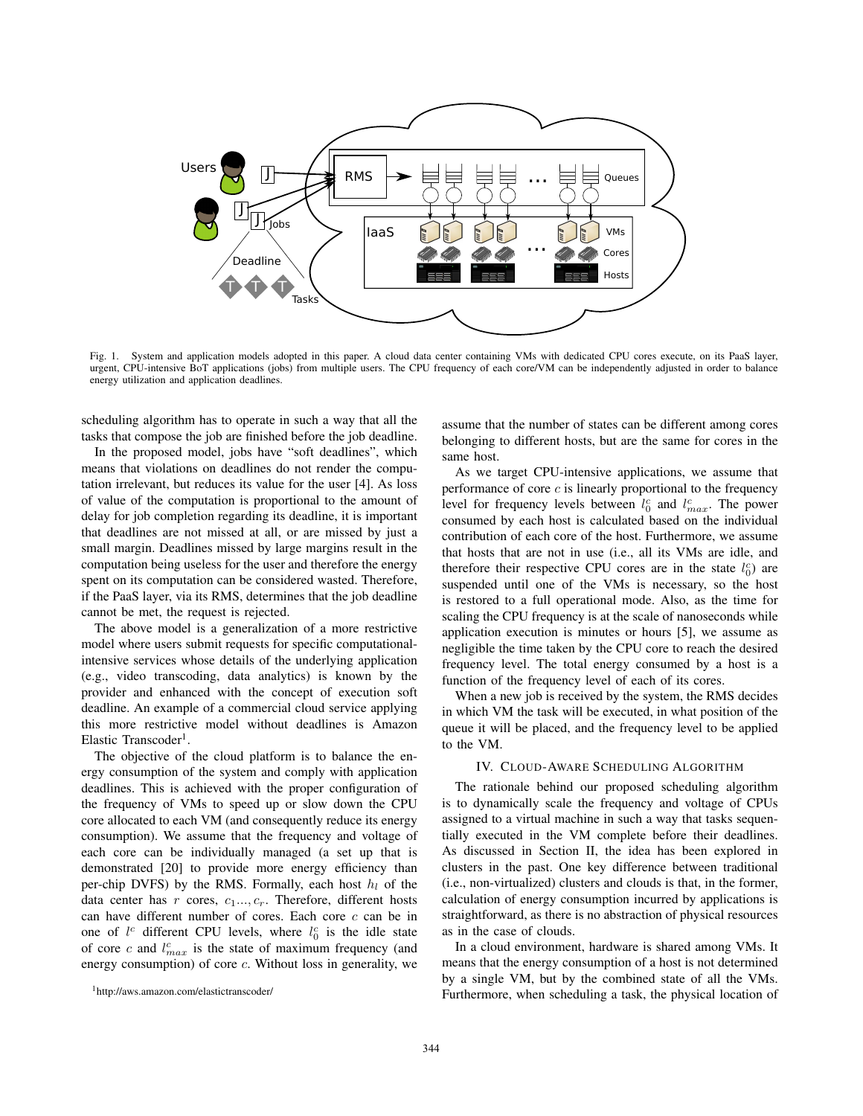

Fig. 1. System and application models adopted in this paper. A cloud data center containing VMs with dedicated CPU cores execute, on its PaaS layer, urgent, CPU-intensive BoT applications (jobs) from multiple users. The CPU frequency of each core/VM can be independently adjusted in order to balance energy utilization and application deadlines.

scheduling algorithm has to operate in such a way that all the tasks that compose the job are finished before the job deadline.

In the proposed model, jobs have "soft deadlines", which means that violations on deadlines do not render the computation irrelevant, but reduces its value for the user [4]. As loss of value of the computation is proportional to the amount of delay for job completion regarding its deadline, it is important that deadlines are not missed at all, or are missed by just a small margin. Deadlines missed by large margins result in the computation being useless for the user and therefore the energy spent on its computation can be considered wasted. Therefore, if the PaaS layer, via its RMS, determines that the job deadline cannot be met, the request is rejected.

The above model is a generalization of a more restrictive model where users submit requests for specific computationalintensive services whose details of the underlying application (e.g., video transcoding, data analytics) is known by the provider and enhanced with the concept of execution soft deadline. An example of a commercial cloud service applying this more restrictive model without deadlines is Amazon Elastic Transcoder<sup>1</sup>.

The objective of the cloud platform is to balance the energy consumption of the system and comply with application deadlines. This is achieved with the proper configuration of the frequency of VMs to speed up or slow down the CPU core allocated to each VM (and consequently reduce its energy consumption). We assume that the frequency and voltage of each core can be individually managed (a set up that is demonstrated [20] to provide more energy efficiency than per-chip DVFS) by the RMS. Formally, each host  $h_l$  of the data center has  $r$  cores,  $c_1, c_r$ . Therefore, different hosts can have different number of cores. Each core *c* can be in one of  $l^c$  different CPU levels, where  $l_0^c$  is the idle state of core  $c$  and  $l_{max}^c$  is the state of maximum frequency (and energy consumption) of core *c*. Without loss in generality, we

assume that the number of states can be different among cores belonging to different hosts, but are the same for cores in the same host.

As we target CPU-intensive applications, we assume that performance of core *c* is linearly proportional to the frequency level for frequency levels between  $l_0^c$  and  $l_{max}^c$ . The power consumed by each host is calculated based on the individual contribution of each core of the host. Furthermore, we assume that hosts that are not in use (i.e., all its VMs are idle, and therefore their respective CPU cores are in the state  $l_0^c$  are suspended until one of the VMs is necessary, so the host is restored to a full operational mode. Also, as the time for scaling the CPU frequency is at the scale of nanoseconds while application execution is minutes or hours [5], we assume as negligible the time taken by the CPU core to reach the desired frequency level. The total energy consumed by a host is a function of the frequency level of each of its cores.

When a new job is received by the system, the RMS decides in which VM the task will be executed, in what position of the queue it will be placed, and the frequency level to be applied to the VM.

#### IV. CLOUD-AWARE SCHEDULING ALGORITHM

The rationale behind our proposed scheduling algorithm is to dynamically scale the frequency and voltage of CPUs assigned to a virtual machine in such a way that tasks sequentially executed in the VM complete before their deadlines. As discussed in Section II, the idea has been explored in clusters in the past. One key difference between traditional (i.e., non-virtualized) clusters and clouds is that, in the former, calculation of energy consumption incurred by applications is straightforward, as there is no abstraction of physical resources as in the case of clouds.

In a cloud environment, hardware is shared among VMs. It means that the energy consumption of a host is not determined by a single VM, but by the combined state of all the VMs. Furthermore, when scheduling a task, the physical location of

<sup>1</sup>http://aws.amazon.com/elastictranscoder/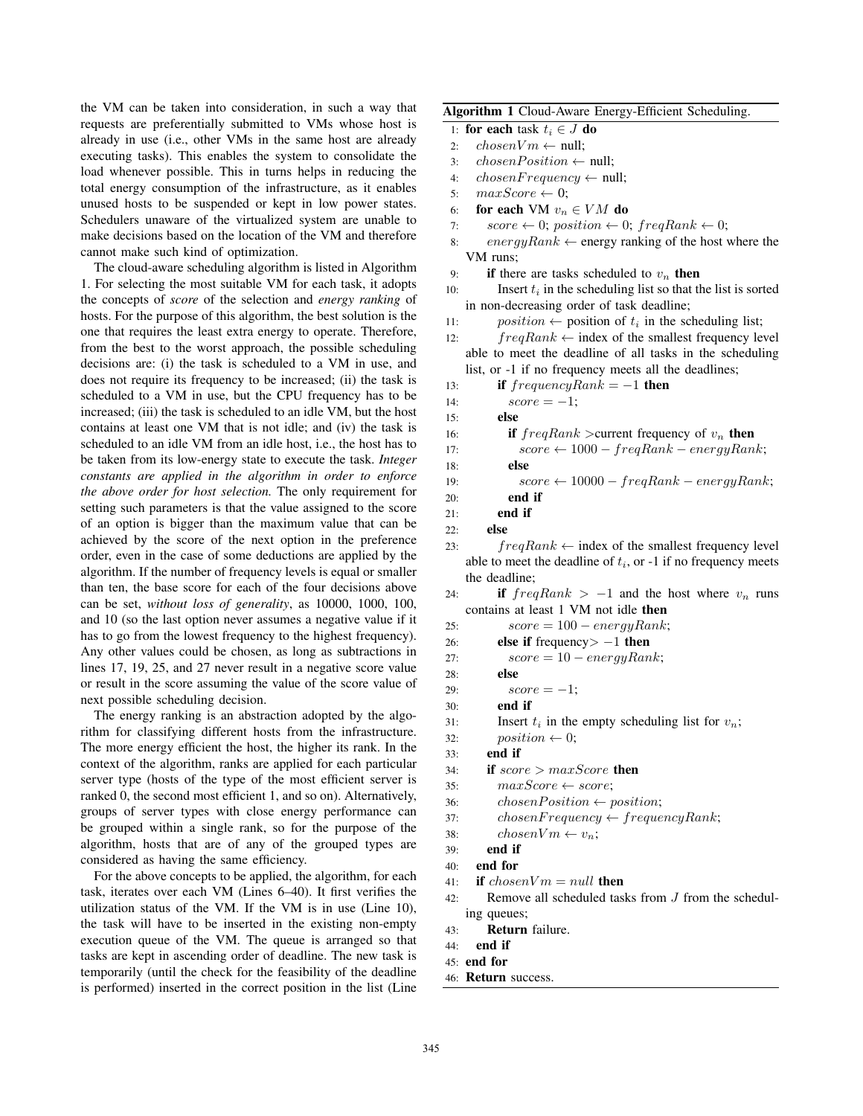the VM can be taken into consideration, in such a way that requests are preferentially submitted to VMs whose host is already in use (i.e., other VMs in the same host are already executing tasks). This enables the system to consolidate the load whenever possible. This in turns helps in reducing the total energy consumption of the infrastructure, as it enables unused hosts to be suspended or kept in low power states. Schedulers unaware of the virtualized system are unable to make decisions based on the location of the VM and therefore cannot make such kind of optimization.

The cloud-aware scheduling algorithm is listed in Algorithm 1. For selecting the most suitable VM for each task, it adopts the concepts of *score* of the selection and *energy ranking* of hosts. For the purpose of this algorithm, the best solution is the one that requires the least extra energy to operate. Therefore, from the best to the worst approach, the possible scheduling decisions are: (i) the task is scheduled to a VM in use, and does not require its frequency to be increased; (ii) the task is scheduled to a VM in use, but the CPU frequency has to be increased; (iii) the task is scheduled to an idle VM, but the host contains at least one VM that is not idle; and (iv) the task is scheduled to an idle VM from an idle host, i.e., the host has to be taken from its low-energy state to execute the task. *Integer constants are applied in the algorithm in order to enforce the above order for host selection.* The only requirement for setting such parameters is that the value assigned to the score of an option is bigger than the maximum value that can be achieved by the score of the next option in the preference order, even in the case of some deductions are applied by the algorithm. If the number of frequency levels is equal or smaller than ten, the base score for each of the four decisions above can be set, *without loss of generality*, as 10000, 1000, 100, and 10 (so the last option never assumes a negative value if it has to go from the lowest frequency to the highest frequency). Any other values could be chosen, as long as subtractions in lines 17, 19, 25, and 27 never result in a negative score value or result in the score assuming the value of the score value of next possible scheduling decision.

The energy ranking is an abstraction adopted by the algorithm for classifying different hosts from the infrastructure. The more energy efficient the host, the higher its rank. In the context of the algorithm, ranks are applied for each particular server type (hosts of the type of the most efficient server is ranked 0, the second most efficient 1, and so on). Alternatively, groups of server types with close energy performance can be grouped within a single rank, so for the purpose of the algorithm, hosts that are of any of the grouped types are considered as having the same efficiency.

For the above concepts to be applied, the algorithm, for each task, iterates over each VM (Lines 6–40). It first verifies the utilization status of the VM. If the VM is in use (Line 10), the task will have to be inserted in the existing non-empty execution queue of the VM. The queue is arranged so that tasks are kept in ascending order of deadline. The new task is temporarily (until the check for the feasibility of the deadline is performed) inserted in the correct position in the list (Line

## Algorithm 1 Cloud-Aware Energy-Efficient Scheduling.

- 1: **for each** task  $t_i \in J$  do
- 2:  $chosenVm \leftarrow null;$
- 3:  $chosenPosition \leftarrow null;$
- 4:  $chosenFrequency \leftarrow null;$
- 5:  $maxScore \leftarrow 0;$
- 6: **for each** VM  $v_n \in VM$  do
- 7:  $score \leftarrow 0$ ;  $position \leftarrow 0$ ;  $freqRank \leftarrow 0$ ;<br>8:  $energyRank \leftarrow energy$  ranking of the host y
- $energyRank \leftarrow$  energy ranking of the host where the VM runs;
- 9: **if** there are tasks scheduled to  $v_n$  then
- 10: Insert  $t_i$  in the scheduling list so that the list is sorted in non-decreasing order of task deadline;

11: *position*  $\leftarrow$  position of  $t_i$  in the scheduling list;

12:  $freqRank \leftarrow index$  of the smallest frequency level able to meet the deadline of all tasks in the scheduling list, or -1 if no frequency meets all the deadlines;

13: **if**  $frequencyRank = -1$  **then**<br>14:  $score = -1$ ;

- 14:  $score = -1;$ <br>15: **else** 
	- else
- 16: **if**  $freqRank >$ current frequency of  $v_n$  then
- 17:  $score \leftarrow 1000 freqRank energyRank;$ <br>18: **else** 
	- else
- 19:  $score \leftarrow 10000 freqRank energyRank;$ <br>20: **end if** 
	- end if
- 21: end if

22: else

- 23:  $freqRank \leftarrow index$  of the smallest frequency level able to meet the deadline of  $t_i$ , or  $-1$  if no frequency meets the deadline;
- 24: **if**  $freqRank > -1$  and the host where  $v_n$  runs contains at least 1 VM not idle then
- 25:  $score = 100 energyRank;$ <br>26: **else if** frequency > -1 **then**
- 26: **else if** frequency >  $-1$  **then**<br>27:  $score = 10 energyRan$
- 27:  $score = 10 energyRank;$ <br>28: **else**
- else
- 29:  $score = -1$ ;<br>30: **end if** 
	- 30: end if
- 31: Insert  $t_i$  in the empty scheduling list for  $v_n$ ;
- 32:  $position \leftarrow 0;$ <br>33: **end if**
- end if
- 34: if *score > maxScore* then
- 35:  $maxScore \leftarrow score;$
- 36:  $chosen Position \leftarrow position;$
- 37: *chosenF requency* ← *frequencyRank*;
- 38:  $chosenV m \leftarrow v_n;$
- 39: end if
- 40: end for
- 41: **if**  $chosenVm = null$  **then**<br>42: **Remove all scheduled tas**
- Remove all scheduled tasks from *J* from the scheduling queues;
- 43: Return failure.
- 44: end if
- 45: end for
- 46: Return success.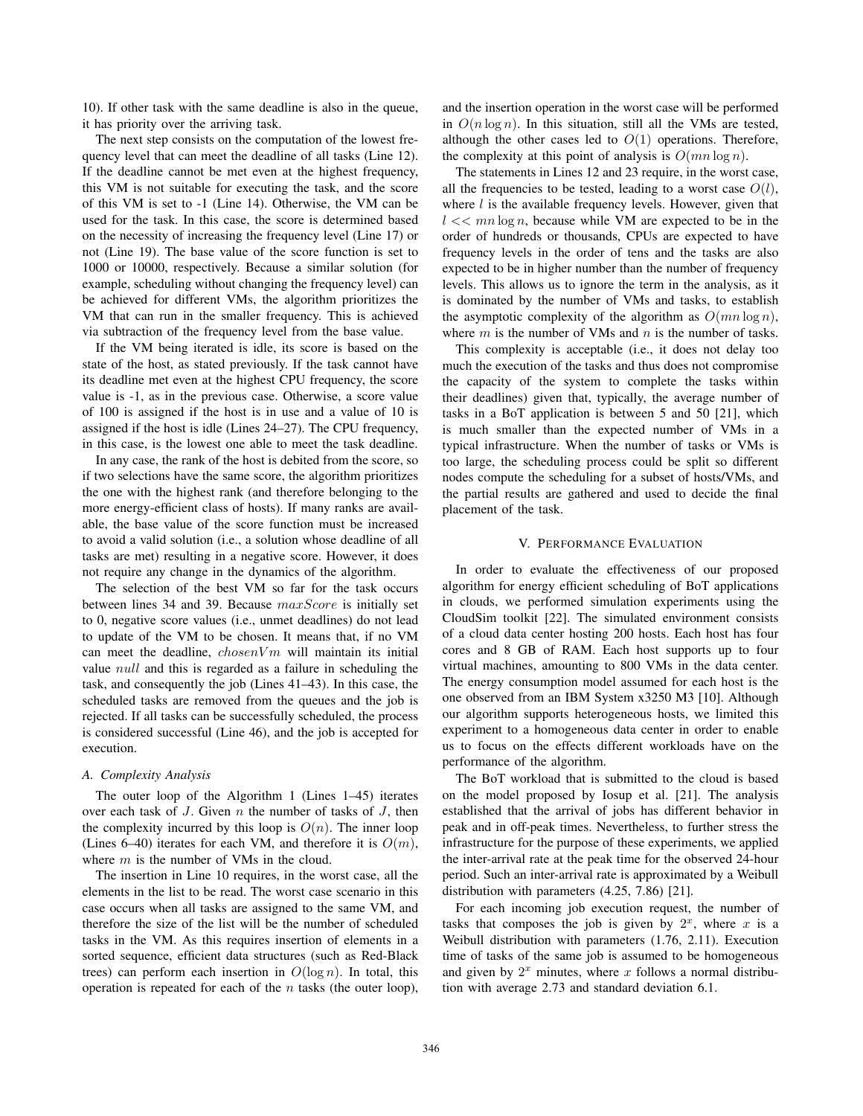10). If other task with the same deadline is also in the queue, it has priority over the arriving task.

The next step consists on the computation of the lowest frequency level that can meet the deadline of all tasks (Line 12). If the deadline cannot be met even at the highest frequency, this VM is not suitable for executing the task, and the score of this VM is set to -1 (Line 14). Otherwise, the VM can be used for the task. In this case, the score is determined based on the necessity of increasing the frequency level (Line 17) or not (Line 19). The base value of the score function is set to 1000 or 10000, respectively. Because a similar solution (for example, scheduling without changing the frequency level) can be achieved for different VMs, the algorithm prioritizes the VM that can run in the smaller frequency. This is achieved via subtraction of the frequency level from the base value.

If the VM being iterated is idle, its score is based on the state of the host, as stated previously. If the task cannot have its deadline met even at the highest CPU frequency, the score value is -1, as in the previous case. Otherwise, a score value of 100 is assigned if the host is in use and a value of 10 is assigned if the host is idle (Lines 24–27). The CPU frequency, in this case, is the lowest one able to meet the task deadline.

In any case, the rank of the host is debited from the score, so if two selections have the same score, the algorithm prioritizes the one with the highest rank (and therefore belonging to the more energy-efficient class of hosts). If many ranks are available, the base value of the score function must be increased to avoid a valid solution (i.e., a solution whose deadline of all tasks are met) resulting in a negative score. However, it does not require any change in the dynamics of the algorithm.

The selection of the best VM so far for the task occurs between lines 34 and 39. Because *maxScore* is initially set to 0, negative score values (i.e., unmet deadlines) do not lead to update of the VM to be chosen. It means that, if no VM can meet the deadline, *chosenV m* will maintain its initial value *null* and this is regarded as a failure in scheduling the task, and consequently the job (Lines 41–43). In this case, the scheduled tasks are removed from the queues and the job is rejected. If all tasks can be successfully scheduled, the process is considered successful (Line 46), and the job is accepted for execution.

## *A. Complexity Analysis*

The outer loop of the Algorithm 1 (Lines 1–45) iterates over each task of *J*. Given *n* the number of tasks of *J*, then the complexity incurred by this loop is  $O(n)$ . The inner loop (Lines 6–40) iterates for each VM, and therefore it is  $O(m)$ , where *m* is the number of VMs in the cloud.

The insertion in Line 10 requires, in the worst case, all the elements in the list to be read. The worst case scenario in this case occurs when all tasks are assigned to the same VM, and therefore the size of the list will be the number of scheduled tasks in the VM. As this requires insertion of elements in a sorted sequence, efficient data structures (such as Red-Black trees) can perform each insertion in  $O(\log n)$ . In total, this operation is repeated for each of the *n* tasks (the outer loop), and the insertion operation in the worst case will be performed in  $O(n \log n)$ . In this situation, still all the VMs are tested, although the other cases led to  $O(1)$  operations. Therefore, the complexity at this point of analysis is  $O(mn \log n)$ .

The statements in Lines 12 and 23 require, in the worst case, all the frequencies to be tested, leading to a worst case  $O(l)$ , where *l* is the available frequency levels. However, given that  $l \ll mn \log n$ , because while VM are expected to be in the order of hundreds or thousands, CPUs are expected to have frequency levels in the order of tens and the tasks are also expected to be in higher number than the number of frequency levels. This allows us to ignore the term in the analysis, as it is dominated by the number of VMs and tasks, to establish the asymptotic complexity of the algorithm as  $O(mn \log n)$ , where *m* is the number of VMs and *n* is the number of tasks.

This complexity is acceptable (i.e., it does not delay too much the execution of the tasks and thus does not compromise the capacity of the system to complete the tasks within their deadlines) given that, typically, the average number of tasks in a BoT application is between 5 and 50 [21], which is much smaller than the expected number of VMs in a typical infrastructure. When the number of tasks or VMs is too large, the scheduling process could be split so different nodes compute the scheduling for a subset of hosts/VMs, and the partial results are gathered and used to decide the final placement of the task.

## V. PERFORMANCE EVALUATION

In order to evaluate the effectiveness of our proposed algorithm for energy efficient scheduling of BoT applications in clouds, we performed simulation experiments using the CloudSim toolkit [22]. The simulated environment consists of a cloud data center hosting 200 hosts. Each host has four cores and 8 GB of RAM. Each host supports up to four virtual machines, amounting to 800 VMs in the data center. The energy consumption model assumed for each host is the one observed from an IBM System x3250 M3 [10]. Although our algorithm supports heterogeneous hosts, we limited this experiment to a homogeneous data center in order to enable us to focus on the effects different workloads have on the performance of the algorithm.

The BoT workload that is submitted to the cloud is based on the model proposed by Iosup et al. [21]. The analysis established that the arrival of jobs has different behavior in peak and in off-peak times. Nevertheless, to further stress the infrastructure for the purpose of these experiments, we applied the inter-arrival rate at the peak time for the observed 24-hour period. Such an inter-arrival rate is approximated by a Weibull distribution with parameters (4.25, 7.86) [21].

For each incoming job execution request, the number of tasks that composes the job is given by  $2^x$ , where x is a Weibull distribution with parameters (1.76, 2.11). Execution time of tasks of the same job is assumed to be homogeneous and given by  $2<sup>x</sup>$  minutes, where  $x$  follows a normal distribution with average 2.73 and standard deviation 6.1.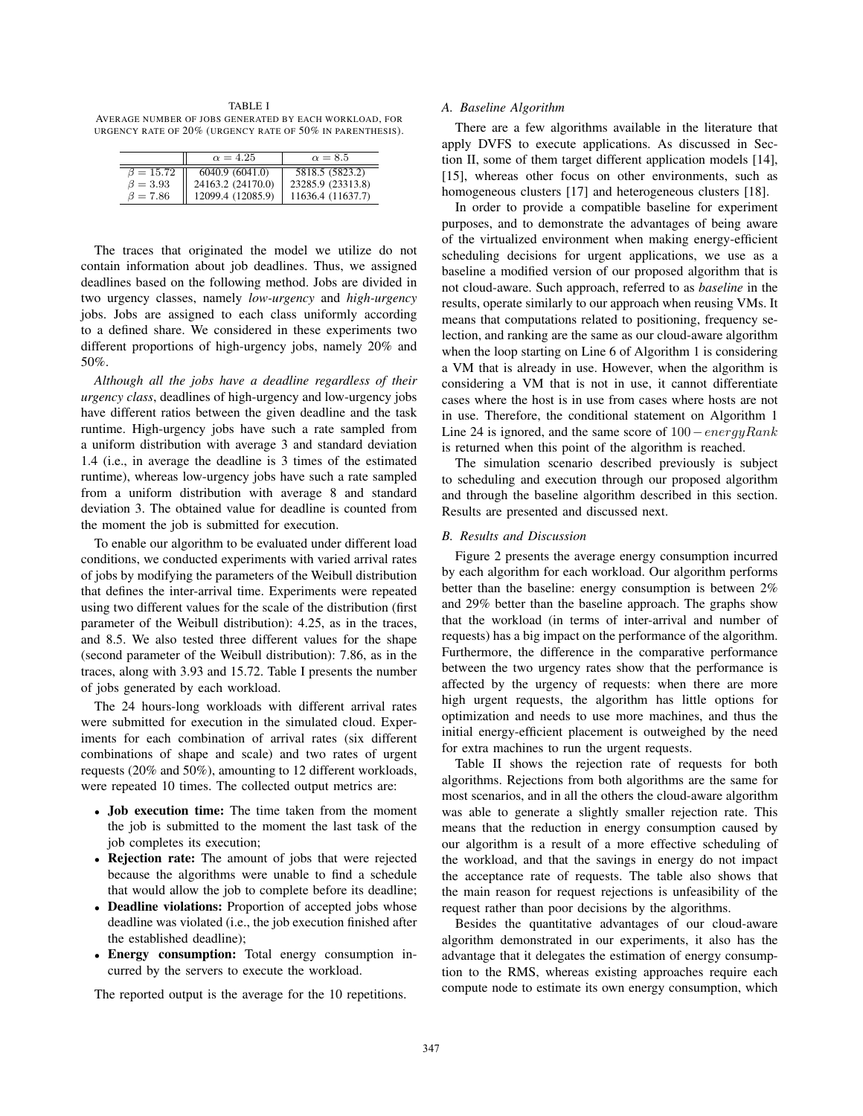TABLE I AVERAGE NUMBER OF JOBS GENERATED BY EACH WORKLOAD, FOR URGENCY RATE OF 20% (URGENCY RATE OF 50% IN PARENTHESIS).

|                 | $\alpha = 4.25$   | $\alpha = 8.5$    |  |
|-----------------|-------------------|-------------------|--|
| $\beta = 15.72$ | 6040.9 (6041.0)   | 5818.5 (5823.2)   |  |
| $\beta = 3.93$  | 24163.2 (24170.0) | 23285.9 (23313.8) |  |
| $\beta = 7.86$  | 12099.4 (12085.9) | 11636.4 (11637.7) |  |

The traces that originated the model we utilize do not contain information about job deadlines. Thus, we assigned deadlines based on the following method. Jobs are divided in two urgency classes, namely *low-urgency* and *high-urgency* jobs. Jobs are assigned to each class uniformly according to a defined share. We considered in these experiments two different proportions of high-urgency jobs, namely 20% and 50%.

*Although all the jobs have a deadline regardless of their urgency class*, deadlines of high-urgency and low-urgency jobs have different ratios between the given deadline and the task runtime. High-urgency jobs have such a rate sampled from a uniform distribution with average 3 and standard deviation 1.4 (i.e., in average the deadline is 3 times of the estimated runtime), whereas low-urgency jobs have such a rate sampled from a uniform distribution with average 8 and standard deviation 3. The obtained value for deadline is counted from the moment the job is submitted for execution.

To enable our algorithm to be evaluated under different load conditions, we conducted experiments with varied arrival rates of jobs by modifying the parameters of the Weibull distribution that defines the inter-arrival time. Experiments were repeated using two different values for the scale of the distribution (first parameter of the Weibull distribution): 4.25, as in the traces, and 8.5. We also tested three different values for the shape (second parameter of the Weibull distribution): 7.86, as in the traces, along with 3.93 and 15.72. Table I presents the number of jobs generated by each workload.

The 24 hours-long workloads with different arrival rates were submitted for execution in the simulated cloud. Experiments for each combination of arrival rates (six different combinations of shape and scale) and two rates of urgent requests (20% and 50%), amounting to 12 different workloads, were repeated 10 times. The collected output metrics are:

- Job execution time: The time taken from the moment the job is submitted to the moment the last task of the job completes its execution;
- Rejection rate: The amount of jobs that were rejected because the algorithms were unable to find a schedule that would allow the job to complete before its deadline;
- Deadline violations: Proportion of accepted jobs whose deadline was violated (i.e., the job execution finished after the established deadline);
- Energy consumption: Total energy consumption incurred by the servers to execute the workload.

The reported output is the average for the 10 repetitions.

## *A. Baseline Algorithm*

There are a few algorithms available in the literature that apply DVFS to execute applications. As discussed in Section II, some of them target different application models [14], [15], whereas other focus on other environments, such as homogeneous clusters [17] and heterogeneous clusters [18].

In order to provide a compatible baseline for experiment purposes, and to demonstrate the advantages of being aware of the virtualized environment when making energy-efficient scheduling decisions for urgent applications, we use as a baseline a modified version of our proposed algorithm that is not cloud-aware. Such approach, referred to as *baseline* in the results, operate similarly to our approach when reusing VMs. It means that computations related to positioning, frequency selection, and ranking are the same as our cloud-aware algorithm when the loop starting on Line 6 of Algorithm 1 is considering a VM that is already in use. However, when the algorithm is considering a VM that is not in use, it cannot differentiate cases where the host is in use from cases where hosts are not in use. Therefore, the conditional statement on Algorithm 1 Line 24 is ignored, and the same score of 100−*energyRank* is returned when this point of the algorithm is reached.

The simulation scenario described previously is subject to scheduling and execution through our proposed algorithm and through the baseline algorithm described in this section. Results are presented and discussed next.

#### *B. Results and Discussion*

Figure 2 presents the average energy consumption incurred by each algorithm for each workload. Our algorithm performs better than the baseline: energy consumption is between 2% and 29% better than the baseline approach. The graphs show that the workload (in terms of inter-arrival and number of requests) has a big impact on the performance of the algorithm. Furthermore, the difference in the comparative performance between the two urgency rates show that the performance is affected by the urgency of requests: when there are more high urgent requests, the algorithm has little options for optimization and needs to use more machines, and thus the initial energy-efficient placement is outweighed by the need for extra machines to run the urgent requests.

Table II shows the rejection rate of requests for both algorithms. Rejections from both algorithms are the same for most scenarios, and in all the others the cloud-aware algorithm was able to generate a slightly smaller rejection rate. This means that the reduction in energy consumption caused by our algorithm is a result of a more effective scheduling of the workload, and that the savings in energy do not impact the acceptance rate of requests. The table also shows that the main reason for request rejections is unfeasibility of the request rather than poor decisions by the algorithms.

Besides the quantitative advantages of our cloud-aware algorithm demonstrated in our experiments, it also has the advantage that it delegates the estimation of energy consumption to the RMS, whereas existing approaches require each compute node to estimate its own energy consumption, which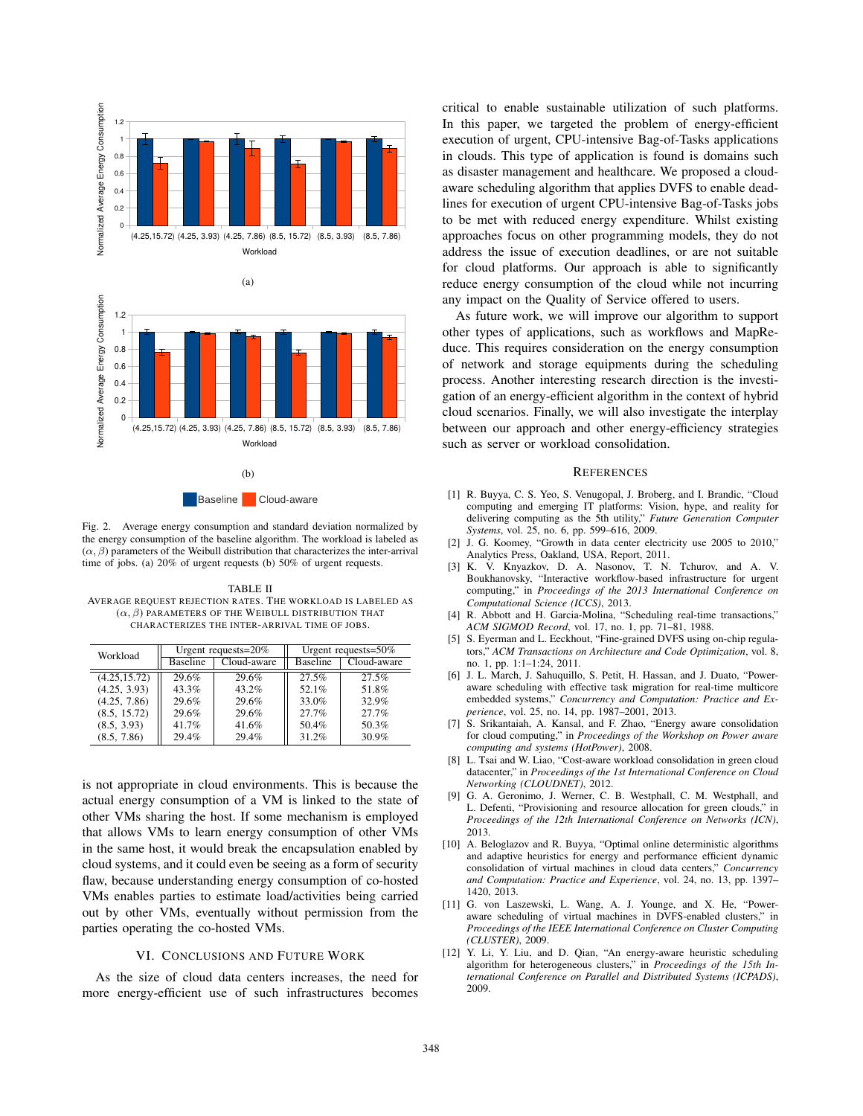

Fig. 2. Average energy consumption and standard deviation normalized by the energy consumption of the baseline algorithm. The workload is labeled as  $(\alpha, \beta)$  parameters of the Weibull distribution that characterizes the inter-arrival time of jobs. (a) 20% of urgent requests (b) 50% of urgent requests.

TABLE II AVERAGE REQUEST REJECTION RATES. THE WORKLOAD IS LABELED AS  $(\alpha, \beta)$  PARAMETERS OF THE WEIBULL DISTRIBUTION THAT CHARACTERIZES THE INTER-ARRIVAL TIME OF JOBS.

| Workload      | Urgent requests= $20\%$ |             | Urgent requests= $50\%$ |             |
|---------------|-------------------------|-------------|-------------------------|-------------|
|               | <b>Baseline</b>         | Cloud-aware | <b>Baseline</b>         | Cloud-aware |
| (4.25, 15.72) | 29.6%                   | 29.6%       | 27.5%                   | 27.5%       |
| (4.25, 3.93)  | 43.3%                   | $43.2\%$    | 52.1%                   | 51.8%       |
| (4.25, 7.86)  | 29.6%                   | 29.6%       | 33.0%                   | 32.9%       |
| (8.5, 15.72)  | 29.6%                   | 29.6%       | 27.7%                   | 27.7%       |
| (8.5, 3.93)   | 41.7%                   | 41.6%       | 50.4%                   | 50.3%       |
| (8.5, 7.86)   | 29.4%                   | 29.4%       | 31.2%                   | 30.9%       |

is not appropriate in cloud environments. This is because the actual energy consumption of a VM is linked to the state of other VMs sharing the host. If some mechanism is employed that allows VMs to learn energy consumption of other VMs in the same host, it would break the encapsulation enabled by cloud systems, and it could even be seeing as a form of security flaw, because understanding energy consumption of co-hosted VMs enables parties to estimate load/activities being carried out by other VMs, eventually without permission from the parties operating the co-hosted VMs.

#### VI. CONCLUSIONS AND FUTURE WORK

As the size of cloud data centers increases, the need for more energy-efficient use of such infrastructures becomes critical to enable sustainable utilization of such platforms. In this paper, we targeted the problem of energy-efficient execution of urgent, CPU-intensive Bag-of-Tasks applications in clouds. This type of application is found is domains such as disaster management and healthcare. We proposed a cloudaware scheduling algorithm that applies DVFS to enable deadlines for execution of urgent CPU-intensive Bag-of-Tasks jobs to be met with reduced energy expenditure. Whilst existing approaches focus on other programming models, they do not address the issue of execution deadlines, or are not suitable for cloud platforms. Our approach is able to significantly reduce energy consumption of the cloud while not incurring any impact on the Quality of Service offered to users.

As future work, we will improve our algorithm to support other types of applications, such as workflows and MapReduce. This requires consideration on the energy consumption of network and storage equipments during the scheduling process. Another interesting research direction is the investigation of an energy-efficient algorithm in the context of hybrid cloud scenarios. Finally, we will also investigate the interplay between our approach and other energy-efficiency strategies such as server or workload consolidation.

#### **REFERENCES**

- [1] R. Buyya, C. S. Yeo, S. Venugopal, J. Broberg, and I. Brandic, "Cloud computing and emerging IT platforms: Vision, hype, and reality for delivering computing as the 5th utility," *Future Generation Computer Systems*, vol. 25, no. 6, pp. 599–616, 2009.
- [2] J. G. Koomey, "Growth in data center electricity use 2005 to 2010," Analytics Press, Oakland, USA, Report, 2011.
- [3] K. V. Knyazkov, D. A. Nasonov, T. N. Tchurov, and A. V. Boukhanovsky, "Interactive workflow-based infrastructure for urgent computing," in *Proceedings of the 2013 International Conference on Computational Science (ICCS)*, 2013.
- [4] R. Abbott and H. Garcia-Molina, "Scheduling real-time transactions," *ACM SIGMOD Record*, vol. 17, no. 1, pp. 71–81, 1988.
- [5] S. Eyerman and L. Eeckhout, "Fine-grained DVFS using on-chip regulators," *ACM Transactions on Architecture and Code Optimization*, vol. 8, no. 1, pp. 1:1–1:24, 2011.
- [6] J. L. March, J. Sahuquillo, S. Petit, H. Hassan, and J. Duato, "Poweraware scheduling with effective task migration for real-time multicore embedded systems," *Concurrency and Computation: Practice and Experience*, vol. 25, no. 14, pp. 1987–2001, 2013.
- [7] S. Srikantaiah, A. Kansal, and F. Zhao, "Energy aware consolidation for cloud computing," in *Proceedings of the Workshop on Power aware computing and systems (HotPower)*, 2008.
- [8] L. Tsai and W. Liao, "Cost-aware workload consolidation in green cloud datacenter," in *Proceedings of the 1st International Conference on Cloud Networking (CLOUDNET)*, 2012.
- [9] G. A. Geronimo, J. Werner, C. B. Westphall, C. M. Westphall, and L. Defenti, "Provisioning and resource allocation for green clouds," in *Proceedings of the 12th International Conference on Networks (ICN)*, 2013.
- [10] A. Beloglazov and R. Buyya, "Optimal online deterministic algorithms and adaptive heuristics for energy and performance efficient dynamic consolidation of virtual machines in cloud data centers," *Concurrency and Computation: Practice and Experience*, vol. 24, no. 13, pp. 1397– 1420, 2013.
- [11] G. von Laszewski, L. Wang, A. J. Younge, and X. He, "Poweraware scheduling of virtual machines in DVFS-enabled clusters," in *Proceedings of the IEEE International Conference on Cluster Computing (CLUSTER)*, 2009.
- [12] Y. Li, Y. Liu, and D. Qian, "An energy-aware heuristic scheduling algorithm for heterogeneous clusters," in *Proceedings of the 15th International Conference on Parallel and Distributed Systems (ICPADS)*, 2009.